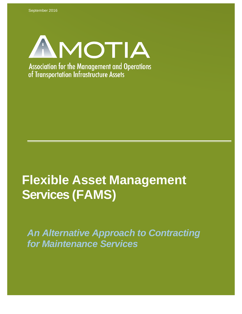

# **Flexible Asset Management Services (FAMS)**

*An Alternative Approach to Contracting for Maintenance Services*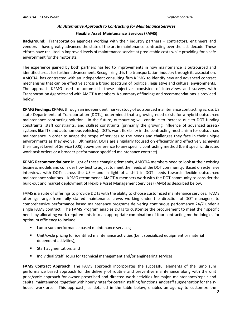## *An Alternative Approach to Contracting for Maintenance Services* **Flexible Asset Maintenance Services (FAMS)**

**Background:** Transportation agencies working with their industry partners – contractors, engineers and vendors --- have greatly advanced the state of the art in maintenance contracting over the last decade. These efforts have resulted in improved levels of maintenance service at predictable costs while providing for a safe environment for the motorists.

The experience gained by both partners has led to improvements in how maintenance is outsourced and identified areas for further advancement. Recognizing this the transportation industry through its association, AMOTIA, has contracted with an independent consulting firm KPMG to identify new and advanced contract mechanisms that can be effective across a broad spectrum of political, legislative and cultural environments. The approach KPMG used to accomplish these objectives consisted of interviews and surveys with Transportation Agencies and with AMOTIA members. A summary of findings and recommendationsis provided below.

**KPMG Findings:** KPMG, through an independent market study of outsourced maintenance contracting across US state Departments of Transportation (DOTs), determined that a growing need exists for a hybrid outsourced maintenance contracting solution. In the future, outsourcing will continue to increase due to DOT funding constraints, staff constraints, and skillset constraints (primarily the growing influence of advanced assets/ systems like ITS and autonomous vehicles). DOTs want flexibility in the contracting mechanism for outsourced maintenance in order to adapt the scope of services to the needs and challenges they face in their unique environments as they evolve. Ultimately, DOTs are singularly focused on efficiently and effectively achieving their target Level of Service (LOS) above preference to any specific contracting method (be it specific, directed work task orders or a broader performance specified maintenance contract).

**KPMG Recommendations**: In light of these changing demands, AMOTIA members need to look at their existing business models and consider how best to adjust to meet the needs of the DOT community. Based on extensive interviews with DOTs across the US – and in light of a shift in DOT needs towards flexible outsourced maintenance solutions – KPMG recommends AMOTIA members work with the DOT community to consider the build-out and market deployment of Flexible Asset Management Services (FAMS) as described below.

FAMS is a suite of offerings to provide DOTs with the ability to choose customized maintenance services. FAMS offerings range from fully staffed maintenance crews working under the direction of DOT managers, to comprehensive performance based maintenance programs delivering continuous performance 24/7 under a single FAMS contract. The FAMS Program enables DOTs to customize the procurement to meet their specific needs by allocating work requirements into an appropriate combination of four contracting methodologies for optimum efficiency to include:

- **Lump-sum performance based maintenance services;**
- Unit/cycle pricing for identified maintenance activities (be it specialized equipment or material dependent activities);
- **Staff augmentation; and**
- **Individual Staff Hours for technical management and/or engineering services.**

**FAMS Contract Approach:** The FAMS approach incorporates the successful elements of the lump sum performance based approach for the delivery of routine and preventive maintenance along with the unit price/cycle approach for owner prescribed and directed work activities for major maintenance/repair and capital maintenance; together with hourly rates for certain staffing functions andstaffaugmentationfor the inhouse workforce. This approach, as detailed in the table below, enables an agency to customize the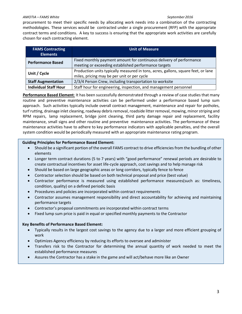#### *AMOTIA – FAMS White September2016*

procurement to meet their specific needs by allocating work needs into a combination of the contracting methodologies. These services would be contracted under a single procurement (RFP) with the appropriate contract terms and conditions. A key to success is ensuring that the appropriate work activities are carefully chosen for each contracting element.

| <b>FAMS Contracting</b><br><b>Elements</b> | <b>Unit of Measure</b>                                                                                                           |
|--------------------------------------------|----------------------------------------------------------------------------------------------------------------------------------|
| <b>Performance Based</b>                   | Fixed monthly payment amount for continuous delivery of performance<br>meeting or exceeding established performance targets      |
| Unit / Cycle                               | Production units typically measured in tons, acres, gallons, square feet, or lane<br>miles, pricing may be per unit or per cycle |
| <b>Staff Augmentation</b>                  | 2/3/4 Person Crew, including transportation to worksite                                                                          |
| <b>Individual Staff Hour</b>               | Staff hour for engineering, inspection, and management personnel                                                                 |

**Performance Based Element**: It has been successfully demonstrated through a review of case studies that many routine and preventive maintenance activities can be performed under a performance based lump sum approach. Such activities typically include overall contract management, maintenance and repair for potholes, turf rutting, drainage inlet cleaning, roadway debris removal, roadside litter removal, mowing, minor striping and RPM repairs, lamp replacement, bridge joint cleaning, third party damage repair and replacement, facility maintenance, small signs and other routine and preventive maintenance activities. The performance of these maintenance activities have to adhere to key performance indicators with applicable penalties, and the overall system condition would be periodically measured with an appropriate maintenance rating program.

#### **Guiding Principles for Performance Based Element:**

- Should be a significant portion of the overall FAMS contract to drive efficiencies from the bundling of other elements
- Longer term contract durations (5 to 7 years) with "good performance" renewal periods are desirable to create contractual incentives for asset life-cycle approach, cost savings and to help manage risk
- Should be based on large geographic areas or long corridors, typically fence to fence
- Contractor selection should be based on both technical proposal and price (best value)
- Contractor performance is measured using established performance measures(such as: timeliness, condition, quality) on a defined periodic basis
- Procedures and policies are incorporated within contract requirements
- Contractor assumes management responsibility and direct accountability for achieving and maintaining performance targets
- Contractor's proposal commitments are incorporated within contract terms
- Fixed lump sum price is paid in equal or specified monthly payments to the Contractor

## **Key Benefits of Performance Based Element:**

- Typically results in the largest cost savings to the agency due to a larger and more efficient grouping of work
- Optimizes Agency efficiency by reducing its efforts to oversee and administer
- Transfers risk to the Contractor for determining the annual quantity of work needed to meet the established performance measures
- Assures the Contractor has a stake in the game and will act/behave more like an Owner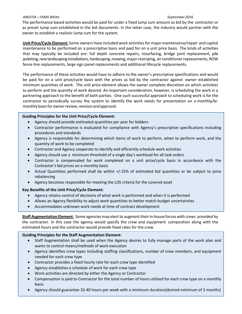#### *AMOTIA – FAMS White September2016*

The performance based activities would be paid for under a fixed lump sum amount as bid by the contractor or as preset lump sum established in the bid documents. In the latter case, the industry would partner with the owner to establish a realistic lump sum for the system.

**Unit Price/Cycle Element:** Some owners have included work activitiesfor major maintenance/repair and capital maintenance to be performed on a prescriptive basis and paid for on a unit price basis. The kinds of activities that may typically be included are: full depth concrete repairs, resurfacing, bridge joint replacement, pile jacketing, new landscaping installations, hardscaping, mowing, major restriping, air conditioner replacements, ROW fence line replacements, large sign panel replacements and additional lifecycle replacements.

The performance of these activities would have to adhere to the owner's prescriptive specifications and would be paid for on a unit price/cycle basis with the prices as bid by the contractor against owner established minimum quantities of work. The unit price element allows the owner complete discretion on which activities to perform and the quantity of work desired. An important consideration, however, is scheduling the work in a partnering approach to the benefit of both parties. One such successful approach to scheduling work is for the contractor to periodically survey the system to identify the work needs for presentation on a monthly/bimonthly basis for owner review, revision and approval.

#### **Guiding Principles for the Unit Price/Cycle Element:**

- Agency should provide estimated quantities per year for bidders
- Contractor performance is evaluated for compliance with Agency's prescriptive specifications including procedures and standards
- Agency is responsible for determining which items of work to perform, when to perform work, and the quantity of work to be completed
- Contractor and Agency cooperate to identify and efficiently schedule work activities
- Agency should use a minimum threshold of a single day's workload for all task orders
- Contractor is compensated for work completed on a unit price/cycle basis in accordance with the Contractor's bid prices on a monthly basis
- Actual Quantities performed shall be within +/-25% of estimated bid quantities or be subject to price rebalancing
- Agency becomes responsible for meeting the LOS criteria for the covered asset

## **Key Benefits of the Unit Price/Cycle Element:**

- Agency retains control of decisions of what work is performed and when it is performed
- Allows an Agency flexibility to adjust work quantities to better match budget uncertainties
- Accommodates unknown work needs at time of contract development

**Staff Augmentation Element**: Some agencies may elect to augment their in-house forces with crews provided by the contractor. In this case the agency would specify the crew and equipment composition along with the estimated hours and the contractor would provide fixed rates for the crew.

## **Guiding Principles for the Staff Augmentation Element:**

- Staff Augmentation shall be used when the Agency desires to fully manage parts of the work plan and wants to control means/methods of work execution
- Agency identifies crew types including staffing classifications, number of crew members, and equipment needed for each crew type
- Contractor provides a fixed hourly rate for each crew type identified
- Agency establishes a schedule of work for each crew type
- Work activities are directed by either the Agency or Contractor
- Compensation is paid to Contractor for the total number of hours utilized for each crew type on a monthly basis
- 4 Agency should guarantee 32-40 hours per week with a minimum duration(desired minimum of 3 months)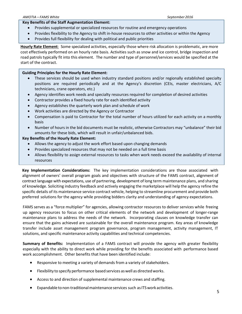#### **Key Benefits of the Staff Augmentation Element:**

- Provides supplemental or specialized resources for routine and emergency operations
- Provides flexibility to the Agency to shift in-house resources to other activities or within the Agency
- Provides full flexibility for dealing with political and public priorities

**Hourly Rate Element**: Some specialized activities, especially those where risk allocation is problematic, are more cost effectively performed on an hourly rate basis. Activities such as snow and ice control, bridge inspection and road patrols typically fit into this element. The number and type of personnel/services would be specified at the start of the contract.

## **Guiding Principles for the Hourly Rate Element:**

- These services should be used when industry standard positions and/or regionally established specialty positions are required periodically and at the Agency's discretion (CEIs, master electricians, A/C technicians, crane operators, etc.)
- Agency identifies work needs and specialty resources required for completion of desired activities
- Contractor provides a fixed hourly rate for each identified activity
- Agency establishes the quarterly work plan and schedule of work
- Work activities are directed by the Agency or Contractor
- Compensation is paid to Contractor for the total number of hours utilized for each activity on a monthly basis
- Number of hours in the bid documents must be realistic, otherwise Contractors may "unbalance" their bid amounts for these bids, which will result in unfair/unbalanced bids.

## **Key Benefits of the Hourly Rate Element:**

- Allows the agency to adjust the work effort based upon changing demands
- Provides specialized resources that may not be needed on a full time basis
- Allows flexibility to assign external resources to tasks when work needs exceed the availability of internal resources

**Key Implementation Considerations:** The key implementation considerations are those associated with alignment of owners' overall program goals and objectives with structure of the FAMS contract, alignment of contract language with expectations, use of partnering, development of long term maintenance plans, and sharing of knowledge. Soliciting industry feedback and actively engaging the marketplace will help the agency refine the specific details of its maintenance service contract vehicle, helping to streamline procurement and provide both preferred solutions for the agency while providing bidders clarity and understanding of agency expectations.

FAMS serves as a "force multiplier" for agencies, allowing contractor resources to deliver services while freeing up agency resources to focus on other critical elements of the network and development of longer-range maintenance plans to address the needs of the network. Incorporating clauses on knowledge transfer can ensure that the gains achieved are sustainable for the overall maintenance program. Key areas of knowledge transfer include asset management program governance, program management, activity management, IT solutions, and specific maintenance activity capabilities and technical competencies.

**Summary of Benefits:** Implementation of a FAMS contract will provide the agency with greater flexibility especially with the ability to direct work while providing for the benefits associated with performance based work accomplishment. Other benefits that have been identified include:

- Responsive to meeting a variety of demands from a variety of stakeholders.
- Flexibility to specify performance based services as well as directed works.
- Access to and direction of supplemental maintenance crews and staffing.
- Expandable tonon-traditionalmaintenance services such asITSwork activities.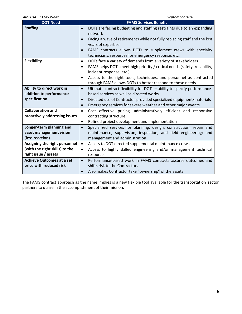| AMOTIA - FAMS White                                                                     | September 2016                                                                                                                                                                                                                                                                              |  |  |  |
|-----------------------------------------------------------------------------------------|---------------------------------------------------------------------------------------------------------------------------------------------------------------------------------------------------------------------------------------------------------------------------------------------|--|--|--|
| <b>DOT Need</b>                                                                         | <b>FAMS Services Benefit</b>                                                                                                                                                                                                                                                                |  |  |  |
| <b>Staffing</b>                                                                         | DOTs are facing budgeting and staffing restraints due to an expanding<br>$\bullet$<br>network<br>Facing a wave of retirements while not fully replacing staff and the lost<br>$\bullet$<br>years of expertise<br>FAMS contracts allows DOTs to supplement crews with specialty<br>$\bullet$ |  |  |  |
|                                                                                         | technicians, resources for emergency response, etc.                                                                                                                                                                                                                                         |  |  |  |
| <b>Flexibility</b>                                                                      | DOTs face a variety of demands from a variety of stakeholders<br>$\bullet$<br>FAMS helps DOTs meet high priority / critical needs (safety, reliability,<br>$\bullet$<br>incident response, etc.)<br>Access to the right tools, techniques, and personnel as contracted<br>$\bullet$         |  |  |  |
|                                                                                         | through FAMS allows DOTs to better respond to those needs                                                                                                                                                                                                                                   |  |  |  |
| Ability to direct work in<br>addition to performance<br>specification                   | Ultimate contract flexibility for DOTs - ability to specify performance-<br>$\bullet$<br>based services as well as directed works<br>Directed use of Contractor-provided specialized equipment/materials<br>$\bullet$<br>Emergency services for severe weather and other major events       |  |  |  |
| <b>Collaboration and</b><br>proactively addressing issues                               | $\bullet$<br>Cost effective pricing, administratively efficient and responsive<br>$\bullet$<br>contracting structure<br>Refined project development and implementation<br>$\bullet$                                                                                                         |  |  |  |
| Longer-term planning and<br>asset management vision<br>(less reaction)                  | Specialized services for planning, design, construction, repair and<br>$\bullet$<br>maintenance; supervision, inspection, and field engineering; and<br>management and administration                                                                                                       |  |  |  |
| Assigning the right personnel<br>(with the right skills) to the<br>right issue / assets | Access to DOT directed supplemental maintenance crews<br>$\bullet$<br>Access to highly skilled engineering and/or management technical<br>$\bullet$<br>resources                                                                                                                            |  |  |  |
| <b>Achieve Outcomes at a set</b><br>price with reduced risk                             | Performance-based work in FAMS contracts assures outcomes and<br>$\bullet$<br>shifts risk to the Contractors<br>Also makes Contractor take "ownership" of the assets<br>$\bullet$                                                                                                           |  |  |  |

The FAMS contract approach as the name implies is a new flexible tool available for the transportation sector partners to utilize in the accomplishment of their mission.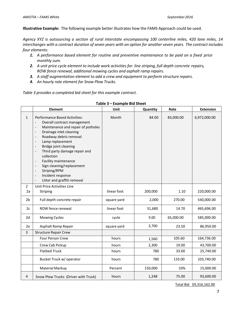**Illustrative Example:** The following example better illustrates how the FAMS Approach could be used.

*Agency XYZ is outsourcing a section of rural interstate encompassing 100 centerline miles, 420 lane miles, 14 interchanges with a contract duration of seven years with an option for another seven years. The contract includes four elements:*

- *1. A performance based element for routine and preventive maintenance to be paid on a fixed price monthly sum.*
- *2. A unit price cycle element to include work activities for: line striping, full depth concrete repairs, ROW fence renewal, additional mowing cycles and asphalt ramp repairs.*
- *3. A staff augmentation element to add a crew and equipment to perform structure repairs.*
- *4. An hourly rate element for Snow Plow Trucks.*

*Table 3 provides a completed bid sheet for this example contract.*

|                | <b>Element</b>                                                                                                                                                                                                                                                                                                                                                                                                                                                                                                                                                                                                                                                                                                                   | Unit        | Quantity | Rate      | <b>Extension</b> |
|----------------|----------------------------------------------------------------------------------------------------------------------------------------------------------------------------------------------------------------------------------------------------------------------------------------------------------------------------------------------------------------------------------------------------------------------------------------------------------------------------------------------------------------------------------------------------------------------------------------------------------------------------------------------------------------------------------------------------------------------------------|-------------|----------|-----------|------------------|
| $\mathbf{1}$   | <b>Performance Based Activities:</b><br>Overall contract management<br>$\overline{\phantom{a}}$<br>Maintenance and repair of potholes<br>$\overline{\phantom{a}}$<br>Drainage inlet cleaning<br>$\overline{\phantom{a}}$<br>Roadway debris removal<br>$\overline{\phantom{a}}$<br>Lamp replacement<br>$\overline{\phantom{a}}$<br>Bridge joint cleaning<br>$\overline{\phantom{a}}$<br>Third party damage repair and<br>$\overline{\phantom{a}}$<br>collection<br><b>Facility maintenance</b><br>$\overline{\phantom{a}}$<br>Sign cleaning/replacement<br>$\overline{\phantom{a}}$<br>Striping/RPM<br>$\overline{\phantom{a}}$<br>Incident response<br>$\overline{\phantom{a}}$<br>Litter and graffiti removal<br>$\overline{a}$ | Month       | 84.00    | 83,000.00 | 6,972,000.00     |
| $\overline{2}$ | Unit Price Activities Line                                                                                                                                                                                                                                                                                                                                                                                                                                                                                                                                                                                                                                                                                                       |             |          |           |                  |
| 2a             | Striping                                                                                                                                                                                                                                                                                                                                                                                                                                                                                                                                                                                                                                                                                                                         | linear foot | 200,000  | 1.10      | 220,000.00       |
| 2 <sub>b</sub> | Full depth concrete repair                                                                                                                                                                                                                                                                                                                                                                                                                                                                                                                                                                                                                                                                                                       | square yard | 2,000    | 270.00    | 540,000.00       |
| 2c             | ROW fence renewal                                                                                                                                                                                                                                                                                                                                                                                                                                                                                                                                                                                                                                                                                                                | linear foot | 31,680   | 14.70     | 465,696.00       |
| 2d             | <b>Mowing Cycles</b>                                                                                                                                                                                                                                                                                                                                                                                                                                                                                                                                                                                                                                                                                                             | cycle       | 9.00     | 65,000.00 | 585,000.00       |
| 2e             | Asphalt Ramp Repair                                                                                                                                                                                                                                                                                                                                                                                                                                                                                                                                                                                                                                                                                                              | square yard | 3,700    | 23.50     | 86,950.00        |
| 3              | <b>Structure Repair Crew</b>                                                                                                                                                                                                                                                                                                                                                                                                                                                                                                                                                                                                                                                                                                     |             |          |           |                  |
|                | <b>Four Person Crew</b>                                                                                                                                                                                                                                                                                                                                                                                                                                                                                                                                                                                                                                                                                                          | hours       | 1,560    | 105.60    | 164,736.00       |
|                | Crew Cab Pickup                                                                                                                                                                                                                                                                                                                                                                                                                                                                                                                                                                                                                                                                                                                  | hours       | 2,300    | 19.00     | 43,700.00        |
|                | <b>Flatbed Truck</b>                                                                                                                                                                                                                                                                                                                                                                                                                                                                                                                                                                                                                                                                                                             | hours       | 780      | 33.00     | 25,740.00        |
|                | Bucket Truck w/ operator                                                                                                                                                                                                                                                                                                                                                                                                                                                                                                                                                                                                                                                                                                         | hours       | 780      | 133.00    | 103,740.00       |
|                | Material Markup                                                                                                                                                                                                                                                                                                                                                                                                                                                                                                                                                                                                                                                                                                                  | Percent     | 150,000  | 10%       | 15,000.00        |
| 4              | Snow Plow Trucks (Driver with Truck)                                                                                                                                                                                                                                                                                                                                                                                                                                                                                                                                                                                                                                                                                             | hours       | 1,248    | 75.00     | 93,600.00        |

**Table 3 – Example Bid Sheet**

Total Bid \$9,316,162.00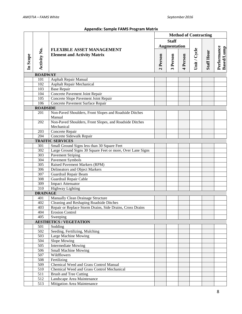# **Appendix: Sample FAMS Program Matrix**

| Activity No. |                  | <b>FLEXIBLE ASSET MANAGEMENT</b><br><b>Element and Activity Matrix</b> | <b>Method of Contracting</b> |                      |          |              |                   |                                  |
|--------------|------------------|------------------------------------------------------------------------|------------------------------|----------------------|----------|--------------|-------------------|----------------------------------|
|              |                  |                                                                        | <b>Staff</b>                 |                      |          |              |                   |                                  |
|              |                  |                                                                        |                              | <b>Augmentation</b>  |          |              |                   |                                  |
|              |                  |                                                                        |                              |                      |          | Unit / Cycle | <b>Staff Hour</b> | Performance<br><b>Based/Lump</b> |
| In Scope     |                  |                                                                        | 2 Person                     | Person               | 4 Person |              |                   |                                  |
|              |                  |                                                                        |                              | $\mathbf{\tilde{z}}$ |          |              |                   |                                  |
|              | <b>ROADWAY</b>   |                                                                        |                              |                      |          |              |                   |                                  |
|              | 101              | Asphalt Repair Manual                                                  |                              |                      |          |              |                   |                                  |
|              | 102              | <b>Asphalt Repair Mechanical</b>                                       |                              |                      |          |              |                   |                                  |
|              | 103              | <b>Base Repair</b>                                                     |                              |                      |          |              |                   |                                  |
|              | 104              | Concrete Pavement Joint Repair                                         |                              |                      |          |              |                   |                                  |
|              | 105              | Concrete Slope Pavement Joint Repair                                   |                              |                      |          |              |                   |                                  |
|              | 106              | Concrete Pavement Surface Repair                                       |                              |                      |          |              |                   |                                  |
|              | <b>ROADSIDE</b>  |                                                                        |                              |                      |          |              |                   |                                  |
|              | 201              | Non-Paved Shoulders, Front Slopes and Roadside Ditches                 |                              |                      |          |              |                   |                                  |
|              |                  | Manual                                                                 |                              |                      |          |              |                   |                                  |
|              | 202              | Non-Paved Shoulders, Front Slopes, and Roadside Ditches<br>Mechanical  |                              |                      |          |              |                   |                                  |
|              | 203              | Concrete Repair                                                        |                              |                      |          |              |                   |                                  |
|              | 204              | Concrete Sidewalk Repair                                               |                              |                      |          |              |                   |                                  |
|              |                  | <b>TRAFFIC SERVICES</b>                                                |                              |                      |          |              |                   |                                  |
|              | 301              | Small Ground Signs less than 30 Square Feet                            |                              |                      |          |              |                   |                                  |
|              | 302              | Large Ground Signs 30 Square Feet or more, Over Lane Signs             |                              |                      |          |              |                   |                                  |
|              | 303              | <b>Pavement Striping</b>                                               |                              |                      |          |              |                   |                                  |
|              | 304              | <b>Pavement Symbols</b>                                                |                              |                      |          |              |                   |                                  |
|              | 305              | <b>Raised Pavement Markers (RPM)</b>                                   |                              |                      |          |              |                   |                                  |
|              | 306              | Delineators and Object Markers                                         |                              |                      |          |              |                   |                                  |
|              | 307              | Guardrail Repair Beam                                                  |                              |                      |          |              |                   |                                  |
|              | 308              | Guardrail Repair Cable                                                 |                              |                      |          |              |                   |                                  |
|              | 309              | <b>Impact Attenuator</b>                                               |                              |                      |          |              |                   |                                  |
|              | $\overline{310}$ | <b>Highway Lighting</b>                                                |                              |                      |          |              |                   |                                  |
|              | <b>DRAINAGE</b>  |                                                                        |                              |                      |          |              |                   |                                  |
|              | 401              | Manually Clean Drainage Structure                                      |                              |                      |          |              |                   |                                  |
|              | 402              | Cleaning and Reshaping Roadside Ditches                                |                              |                      |          |              |                   |                                  |
|              | 403              | Repair or Replace Storm Drains, Side Drains, Cross Drains              |                              |                      |          |              |                   |                                  |
|              | 404              | <b>Erosion Control</b>                                                 |                              |                      |          |              |                   |                                  |
|              | 405              | Sweeping                                                               |                              |                      |          |              |                   |                                  |
|              |                  | <b>AESTHETICS / VEGETATION</b>                                         |                              |                      |          |              |                   |                                  |
|              | 501              | Sodding                                                                |                              |                      |          |              |                   |                                  |
|              | 502              | Seeding, Fertilizing, Mulching                                         |                              |                      |          |              |                   |                                  |
|              | 503              | <b>Large Machine Mowing</b>                                            |                              |                      |          |              |                   |                                  |
|              | 504              | <b>Slope Mowing</b>                                                    |                              |                      |          |              |                   |                                  |
|              | 505              | <b>Intermediate Mowing</b>                                             |                              |                      |          |              |                   |                                  |
|              | 506              | <b>Small Machine Mowing</b>                                            |                              |                      |          |              |                   |                                  |
|              | 507              | Wildflowers                                                            |                              |                      |          |              |                   |                                  |
|              | 508              | Fertilizing                                                            |                              |                      |          |              |                   |                                  |
|              | 509              | Chemical Weed and Grass Control Manual                                 |                              |                      |          |              |                   |                                  |
|              | 510              | Chemical Weed and Grass Control Mechanical                             |                              |                      |          |              |                   |                                  |
|              | 511              | <b>Brush and Tree Cutting</b>                                          |                              |                      |          |              |                   |                                  |
|              | 512              | Landscape Area Maintenance                                             |                              |                      |          |              |                   |                                  |
|              | 513              | Mitigation Area Maintenance                                            |                              |                      |          |              |                   |                                  |